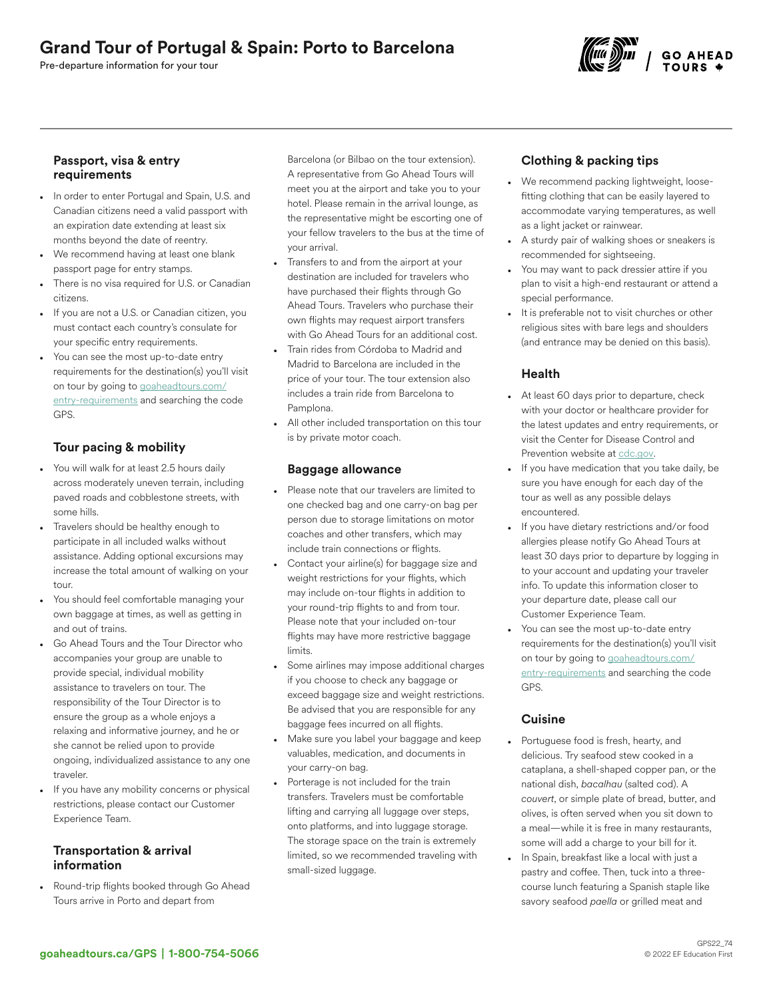Pre-departure information for your tour



## Passport, visa & entry requirements

- In order to enter Portugal and Spain, U.S. and Canadian citizens need a valid passport with an expiration date extending at least six months beyond the date of reentry.
- We recommend having at least one blank passport page for entry stamps.
- There is no visa required for U.S. or Canadian citizens.
- If you are not a U.S. or Canadian citizen, you must contact each country's consulate for your specific entry requirements.
- You can see the most up-to-date entry requirements for the destination(s) you'll visit on tour by going to [goaheadtours.com/](/entry-requirements?tourCode=GPS) [entry-requirements](/entry-requirements?tourCode=GPS) and searching the code GPS.

# Tour pacing & mobility

- You will walk for at least 2.5 hours daily across moderately uneven terrain, including paved roads and cobblestone streets, with some hills.
- Travelers should be healthy enough to participate in all included walks without assistance. Adding optional excursions may increase the total amount of walking on your tour.
- You should feel comfortable managing your own baggage at times, as well as getting in and out of trains.
- Go Ahead Tours and the Tour Director who accompanies your group are unable to provide special, individual mobility assistance to travelers on tour. The responsibility of the Tour Director is to ensure the group as a whole enjoys a relaxing and informative journey, and he or she cannot be relied upon to provide ongoing, individualized assistance to any one traveler.
- If you have any mobility concerns or physical restrictions, please contact our Customer Experience Team.

## Transportation & arrival information

• Round-trip flights booked through Go Ahead Tours arrive in Porto and depart from

Barcelona (or Bilbao on the tour extension). A representative from Go Ahead Tours will meet you at the airport and take you to your hotel. Please remain in the arrival lounge, as the representative might be escorting one of your fellow travelers to the bus at the time of your arrival.

- Transfers to and from the airport at your destination are included for travelers who have purchased their flights through Go Ahead Tours. Travelers who purchase their own flights may request airport transfers with Go Ahead Tours for an additional cost.
- Train rides from Córdoba to Madrid and Madrid to Barcelona are included in the price of your tour. The tour extension also includes a train ride from Barcelona to Pamplona.
- All other included transportation on this tour is by private motor coach.

## Baggage allowance

- Please note that our travelers are limited to one checked bag and one carry-on bag per person due to storage limitations on motor coaches and other transfers, which may include train connections or flights.
- Contact your airline(s) for baggage size and weight restrictions for your flights, which may include on-tour flights in addition to your round-trip flights to and from tour. Please note that your included on-tour flights may have more restrictive baggage limits.
- Some airlines may impose additional charges if you choose to check any baggage or exceed baggage size and weight restrictions. Be advised that you are responsible for any baggage fees incurred on all flights.
- Make sure you label your baggage and keep valuables, medication, and documents in your carry-on bag.
- Porterage is not included for the train transfers. Travelers must be comfortable lifting and carrying all luggage over steps, onto platforms, and into luggage storage. The storage space on the train is extremely limited, so we recommended traveling with small-sized luggage.

# Clothing & packing tips

- We recommend packing lightweight, loosefitting clothing that can be easily layered to accommodate varying temperatures, as well as a light jacket or rainwear.
- A sturdy pair of walking shoes or sneakers is recommended for sightseeing.
- You may want to pack dressier attire if you plan to visit a high-end restaurant or attend a special performance.
- It is preferable not to visit churches or other religious sites with bare legs and shoulders (and entrance may be denied on this basis).

# Health

- At least 60 days prior to departure, check with your doctor or healthcare provider for the latest updates and entry requirements, or visit the Center for Disease Control and Prevention website at [cdc.gov.](https://www.cdc.gov/)
- If you have medication that you take daily, be sure you have enough for each day of the tour as well as any possible delays encountered.
- If you have dietary restrictions and/or food allergies please notify Go Ahead Tours at least 30 days prior to departure by logging in to your account and updating your traveler info. To update this information closer to your departure date, please call our Customer Experience Team.
- You can see the most up-to-date entry requirements for the destination(s) you'll visit on tour by going to [goaheadtours.com/](/entry-requirements?tourCode=GPS) [entry-requirements](/entry-requirements?tourCode=GPS) and searching the code GPS.

# **Cuisine**

- Portuguese food is fresh, hearty, and delicious. Try seafood stew cooked in a cataplana, a shell-shaped copper pan, or the national dish, *bacalhau* (salted cod). A *couvert*, or simple plate of bread, butter, and olives, is often served when you sit down to a meal—while it is free in many restaurants, some will add a charge to your bill for it.
- In Spain, breakfast like a local with just a pastry and coffee. Then, tuck into a threecourse lunch featuring a Spanish staple like savory seafood *paella* or grilled meat and